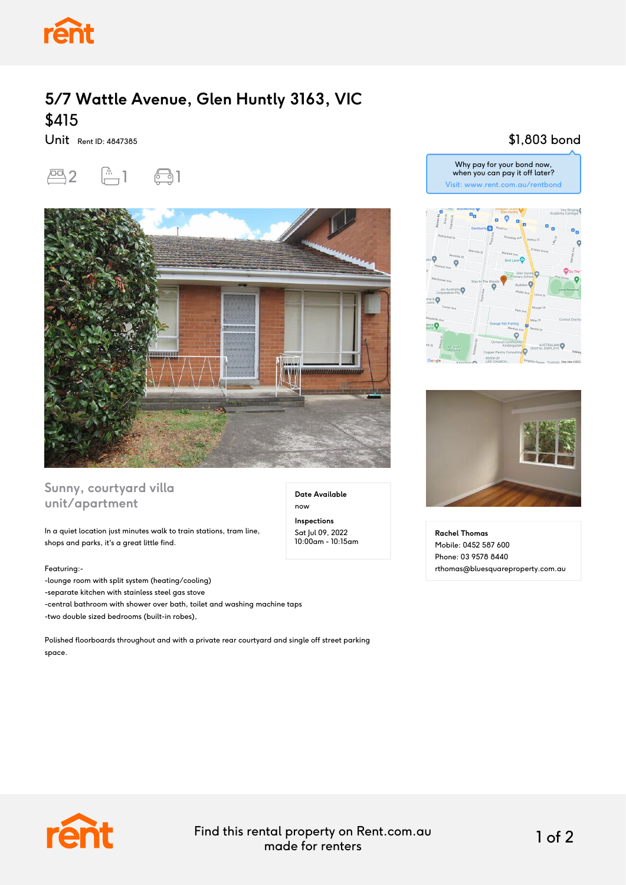

# **5/7 Wattle Avenue, Glen Huntly 3163, VIC** \$415

Unit Rent ID: 4847385





### **Sunny, courtyard villa unit/apartment**

In a quiet location just minutes walk to train stations, tram line, shops and parks, it's a great little find.

#### Featuring:-

-lounge room with split system (heating/cooling) -separate kitchen with stainless steel gas stove -central bathroom with shower over bath, toilet and washing machine taps -two double sized bedrooms (built-in robes),

Polished floorboards throughout and with a private rear courtyard and single off street parking space.

#### \$1,803 bond





**Rachel Thomas** Mobile: 0452 587 600 Phone: 03 9578 8440 rthomas@bluesquareproperty.com.au



Find this rental property on Rent.com.au made for renters 1 of 2

**Date Available**

now **Inspections** Sat Jul 09, 2022 10:00am - 10:15am